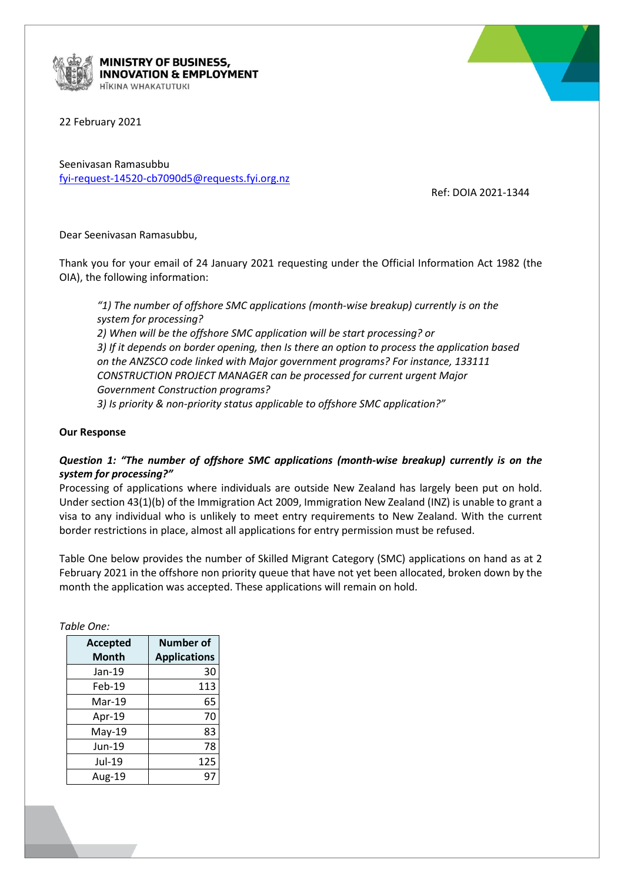

**MINISTRY OF BUSINESS, INNOVATION & EMPLOYMENT** HĪKINA WHAKATUTUKI

22 February 2021

Seenivasan Ramasubbu [fyi-request-14520-cb7090d5@requests.fyi.org.nz](mailto:xxxxxxxxxxxxxxxxxxxxxxxxxx@xxxxxxxx.xxx.xxx.xx)

Ref: DOIA 2021-1344

Dear Seenivasan Ramasubbu,

Thank you for your email of 24 January 2021 requesting under the Official Information Act 1982 (the OIA), the following information:

*"1) The number of offshore SMC applications (month-wise breakup) currently is on the system for processing? 2) When will be the offshore SMC application will be start processing? or 3) If it depends on border opening, then Is there an option to process the application based on the ANZSCO code linked with Major government programs? For instance, 133111 CONSTRUCTION PROJECT MANAGER can be processed for current urgent Major Government Construction programs? 3) Is priority & non-priority status applicable to offshore SMC application?"*

## **Our Response**

## *Question 1: "The number of offshore SMC applications (month-wise breakup) currently is on the system for processing?"*

Processing of applications where individuals are outside New Zealand has largely been put on hold. Under section 43(1)(b) of the Immigration Act 2009, Immigration New Zealand (INZ) is unable to grant a visa to any individual who is unlikely to meet entry requirements to New Zealand. With the current border restrictions in place, almost all applications for entry permission must be refused.

Table One below provides the number of Skilled Migrant Category (SMC) applications on hand as at 2 February 2021 in the offshore non priority queue that have not yet been allocated, broken down by the month the application was accepted. These applications will remain on hold.

*Table One:*

| <b>Accepted</b> | <b>Number of</b>    |
|-----------------|---------------------|
| Month           | <b>Applications</b> |
| Jan-19          | 30                  |
| Feb-19          | 113                 |
| Mar-19          | 65                  |
| Apr-19          | 70                  |
| May-19          | 83                  |
| Jun-19          | 78                  |
| Jul-19          | 125                 |
| Aug-19          | 97                  |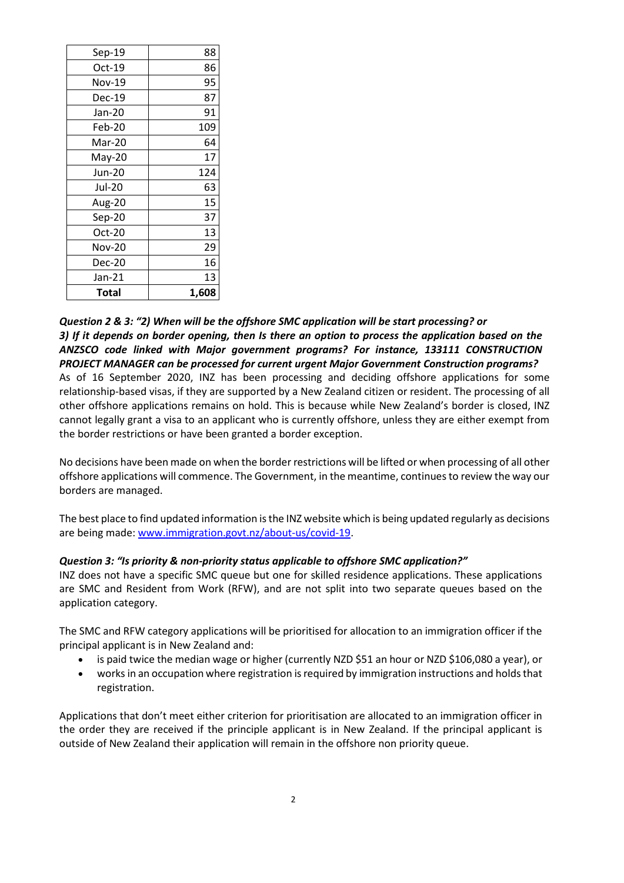| Total         | 1,608 |
|---------------|-------|
| Jan-21        | 13    |
| <b>Dec-20</b> | 16    |
| Nov-20        | 29    |
| $Oct-20$      | 13    |
| Sep-20        | 37    |
| Aug-20        | 15    |
| <b>Jul-20</b> | 63    |
| Jun-20        | 124   |
| May-20        | 17    |
| Mar-20        | 64    |
| Feb-20        | 109   |
| Jan-20        | 91    |
| Dec-19        | 87    |
| Nov-19        | 95    |
| $Oct-19$      | 86    |
| Sep-19        | 88    |

*Question 2 & 3: "2) When will be the offshore SMC application will be start processing? or 3) If it depends on border opening, then Is there an option to process the application based on the ANZSCO code linked with Major government programs? For instance, 133111 CONSTRUCTION PROJECT MANAGER can be processed for current urgent Major Government Construction programs?* As of 16 September 2020, INZ has been processing and deciding offshore applications for some relationship-based visas, if they are supported by a New Zealand citizen or resident. The processing of all other offshore applications remains on hold. This is because while New Zealand's border is closed, INZ cannot legally grant a visa to an applicant who is currently offshore, unless they are either exempt from the border restrictions or have been granted a border exception.

No decisions have been made on when the border restrictions will be lifted or when processing of all other offshore applications will commence. The Government, in the meantime, continues to review the way our borders are managed.

The best place to find updated information is the INZ website which is being updated regularly as decisions are being made[: www.immigration.govt.nz/about-us/covid-19.](http://www.immigration.govt.nz/about-us/covid-19)

## *Question 3: "Is priority & non-priority status applicable to offshore SMC application?"*

INZ does not have a specific SMC queue but one for skilled residence applications. These applications are SMC and Resident from Work (RFW), and are not split into two separate queues based on the application category.

The SMC and RFW category applications will be prioritised for allocation to an immigration officer if the principal applicant is in New Zealand and:

- is paid twice the median wage or higher (currently NZD \$51 an hour or NZD \$106,080 a year), or
- works in an occupation where registration is required by immigration instructions and holds that registration.

Applications that don't meet either criterion for prioritisation are allocated to an immigration officer in the order they are received if the principle applicant is in New Zealand. If the principal applicant is outside of New Zealand their application will remain in the offshore non priority queue.